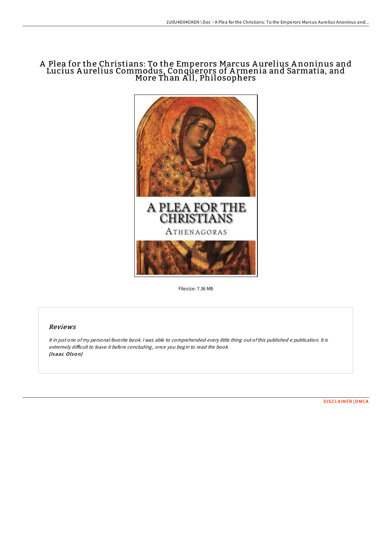## A Plea for the Christians: To the Emperors Marcus A urelius A noninus and Lucius Aurelius Commodu<u>s,</u> Conquerors of Armenia and Sarmatia, and More Than All, Philosophers



Filesize: 7.36 MB

## Reviews

It in just one of my personal favorite book. <sup>I</sup> was able to comprehended every little thing out ofthis published <sup>e</sup> publication. It is extremely difficult to leave it before concluding, once you begin to read the book. (Isaac Olson)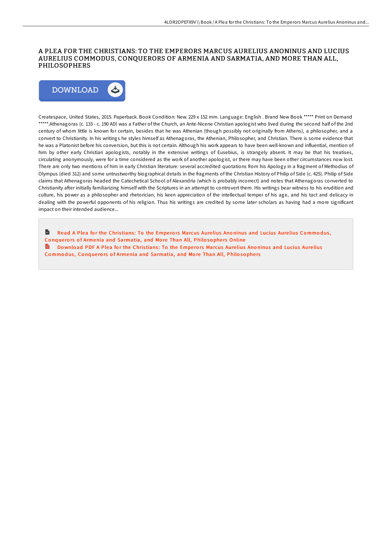## A PLEA FOR THE CHRISTIANS: TO THE EMPERORS MARCUS AURELIUS ANONINUS AND LUCIUS AURELIUS COMMODUS, CONQUERORS OF ARMENIA AND SARMATIA, AND MORE THAN ALL, PHILOSOPHERS



Createspace, United States, 2015. Paperback. Book Condition: New. 229 x 152 mm. Language: English . Brand New Book \*\*\*\*\* Print on Demand \*\*\*\*\*.Athenagoras (c. 133 - c. 190 AD) was a Father of the Church, an Ante-Nicene Christian apologist who lived during the second half of the 2nd century of whom little is known for certain, besides that he was Athenian (though possibly not originally from Athens), a philosopher, and a convert to Christianity. In his writings he styles himself as Athenagoras, the Athenian, Philosopher, and Christian. There is some evidence that he was a Platonist before his conversion, but this is not certain. Although his work appears to have been well-known and influential, mention of him by other early Christian apologists, notably in the extensive writings of Eusebius, is strangely absent. It may be that his treatises, circulating anonymously, were for a time considered as the work of another apologist, or there may have been other circumstances now lost. There are only two mentions of him in early Christian literature: several accredited quotations from his Apology in a fragment of Methodius of Olympus (died 312) and some untrustworthy biographical details in the fragments of the Christian History of Philip of Side (c. 425). Philip of Side claims that Athenagoras headed the Catechetical School of Alexandria (which is probably incorrect) and notes that Athenagoras converted to Christianity after initially familiarizing himself with the Scriptures in an attempt to controvert them. His writings bear witness to his erudition and culture, his power as a philosopher and rhetorician, his keen appreciation of the intellectual temper of his age, and his tact and delicacy in dealing with the powerful opponents of his religion. Thus his writings are credited by some later scholars as having had a more significant impact on their intended audience...

Read A Plea for the Christians: To the Emperors Marcus Aurelius Anoninus and Lucius Aurelius Commodus, Conquerors of Armenia and [Sarmatia,](http://almighty24.tech/a-plea-for-the-christians-to-the-emperors-marcus.html) and More Than All, Philosophers Online

 $\frac{1}{100}$ Download PDF A Plea for the Christians: To the Emperors Marcus Aurelius Anoninus and Lucius Aurelius Commodus, Conquerors of Armenia and [Sarmatia,](http://almighty24.tech/a-plea-for-the-christians-to-the-emperors-marcus.html) and More Than All, Philosophers